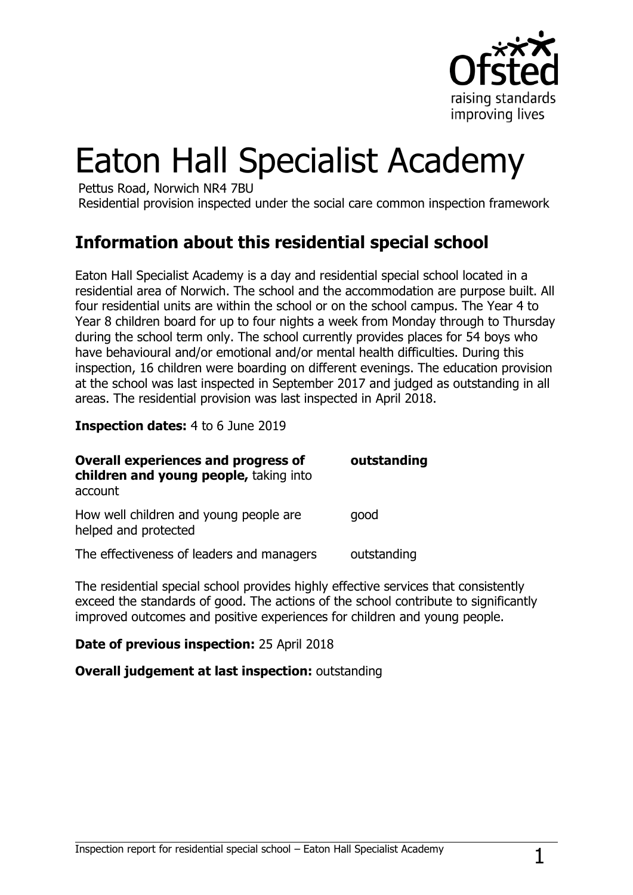

# Eaton Hall Specialist Academy

Pettus Road, Norwich NR4 7BU Residential provision inspected under the social care common inspection framework

## **Information about this residential special school**

Eaton Hall Specialist Academy is a day and residential special school located in a residential area of Norwich. The school and the accommodation are purpose built. All four residential units are within the school or on the school campus. The Year 4 to Year 8 children board for up to four nights a week from Monday through to Thursday during the school term only. The school currently provides places for 54 boys who have behavioural and/or emotional and/or mental health difficulties. During this inspection, 16 children were boarding on different evenings. The education provision at the school was last inspected in September 2017 and judged as outstanding in all areas. The residential provision was last inspected in April 2018.

**Inspection dates:** 4 to 6 June 2019

| <b>Overall experiences and progress of</b><br>children and young people, taking into<br>account | outstanding |
|-------------------------------------------------------------------------------------------------|-------------|
| How well children and young people are<br>helped and protected                                  | good        |
| The effectiveness of leaders and managers                                                       | outstanding |

The residential special school provides highly effective services that consistently exceed the standards of good. The actions of the school contribute to significantly improved outcomes and positive experiences for children and young people.

#### **Date of previous inspection:** 25 April 2018

#### **Overall judgement at last inspection:** outstanding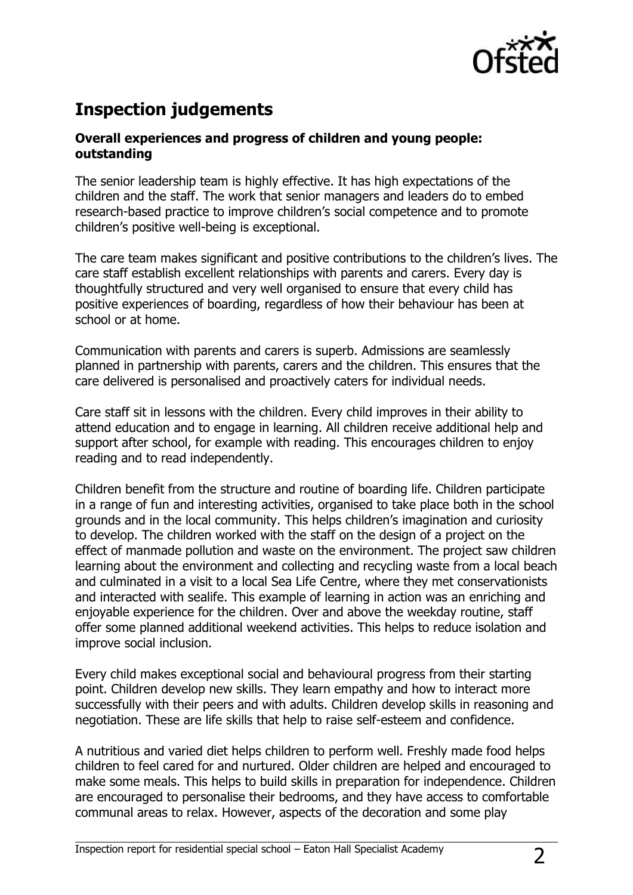

# **Inspection judgements**

#### **Overall experiences and progress of children and young people: outstanding**

The senior leadership team is highly effective. It has high expectations of the children and the staff. The work that senior managers and leaders do to embed research-based practice to improve children's social competence and to promote children's positive well-being is exceptional.

The care team makes significant and positive contributions to the children's lives. The care staff establish excellent relationships with parents and carers. Every day is thoughtfully structured and very well organised to ensure that every child has positive experiences of boarding, regardless of how their behaviour has been at school or at home.

Communication with parents and carers is superb. Admissions are seamlessly planned in partnership with parents, carers and the children. This ensures that the care delivered is personalised and proactively caters for individual needs.

Care staff sit in lessons with the children. Every child improves in their ability to attend education and to engage in learning. All children receive additional help and support after school, for example with reading. This encourages children to enjoy reading and to read independently.

Children benefit from the structure and routine of boarding life. Children participate in a range of fun and interesting activities, organised to take place both in the school grounds and in the local community. This helps children's imagination and curiosity to develop. The children worked with the staff on the design of a project on the effect of manmade pollution and waste on the environment. The project saw children learning about the environment and collecting and recycling waste from a local beach and culminated in a visit to a local Sea Life Centre, where they met conservationists and interacted with sealife. This example of learning in action was an enriching and enjoyable experience for the children. Over and above the weekday routine, staff offer some planned additional weekend activities. This helps to reduce isolation and improve social inclusion.

Every child makes exceptional social and behavioural progress from their starting point. Children develop new skills. They learn empathy and how to interact more successfully with their peers and with adults. Children develop skills in reasoning and negotiation. These are life skills that help to raise self-esteem and confidence.

A nutritious and varied diet helps children to perform well. Freshly made food helps children to feel cared for and nurtured. Older children are helped and encouraged to make some meals. This helps to build skills in preparation for independence. Children are encouraged to personalise their bedrooms, and they have access to comfortable communal areas to relax. However, aspects of the decoration and some play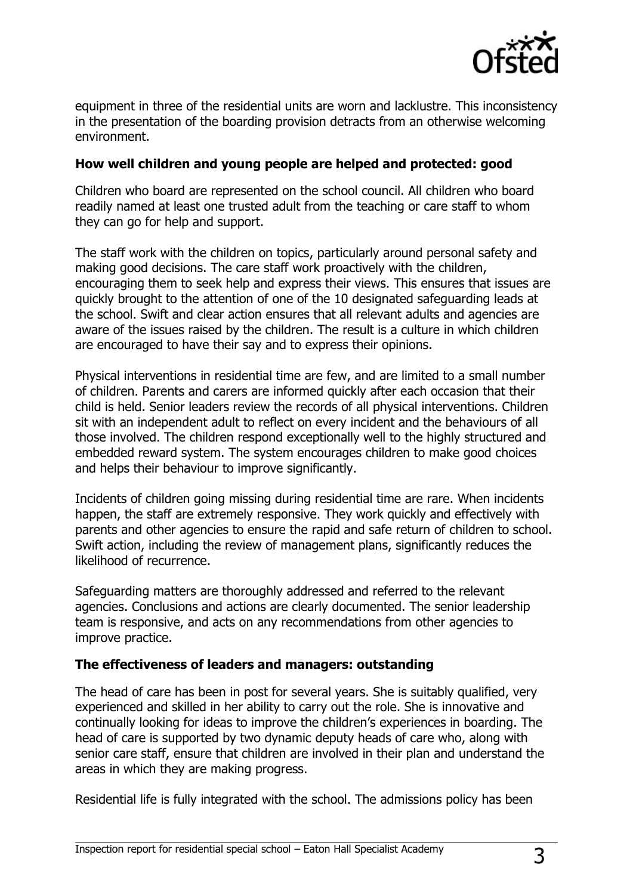

equipment in three of the residential units are worn and lacklustre. This inconsistency in the presentation of the boarding provision detracts from an otherwise welcoming environment.

#### **How well children and young people are helped and protected: good**

Children who board are represented on the school council. All children who board readily named at least one trusted adult from the teaching or care staff to whom they can go for help and support.

The staff work with the children on topics, particularly around personal safety and making good decisions. The care staff work proactively with the children, encouraging them to seek help and express their views. This ensures that issues are quickly brought to the attention of one of the 10 designated safeguarding leads at the school. Swift and clear action ensures that all relevant adults and agencies are aware of the issues raised by the children. The result is a culture in which children are encouraged to have their say and to express their opinions.

Physical interventions in residential time are few, and are limited to a small number of children. Parents and carers are informed quickly after each occasion that their child is held. Senior leaders review the records of all physical interventions. Children sit with an independent adult to reflect on every incident and the behaviours of all those involved. The children respond exceptionally well to the highly structured and embedded reward system. The system encourages children to make good choices and helps their behaviour to improve significantly.

Incidents of children going missing during residential time are rare. When incidents happen, the staff are extremely responsive. They work quickly and effectively with parents and other agencies to ensure the rapid and safe return of children to school. Swift action, including the review of management plans, significantly reduces the likelihood of recurrence.

Safeguarding matters are thoroughly addressed and referred to the relevant agencies. Conclusions and actions are clearly documented. The senior leadership team is responsive, and acts on any recommendations from other agencies to improve practice.

#### **The effectiveness of leaders and managers: outstanding**

The head of care has been in post for several years. She is suitably qualified, very experienced and skilled in her ability to carry out the role. She is innovative and continually looking for ideas to improve the children's experiences in boarding. The head of care is supported by two dynamic deputy heads of care who, along with senior care staff, ensure that children are involved in their plan and understand the areas in which they are making progress.

Residential life is fully integrated with the school. The admissions policy has been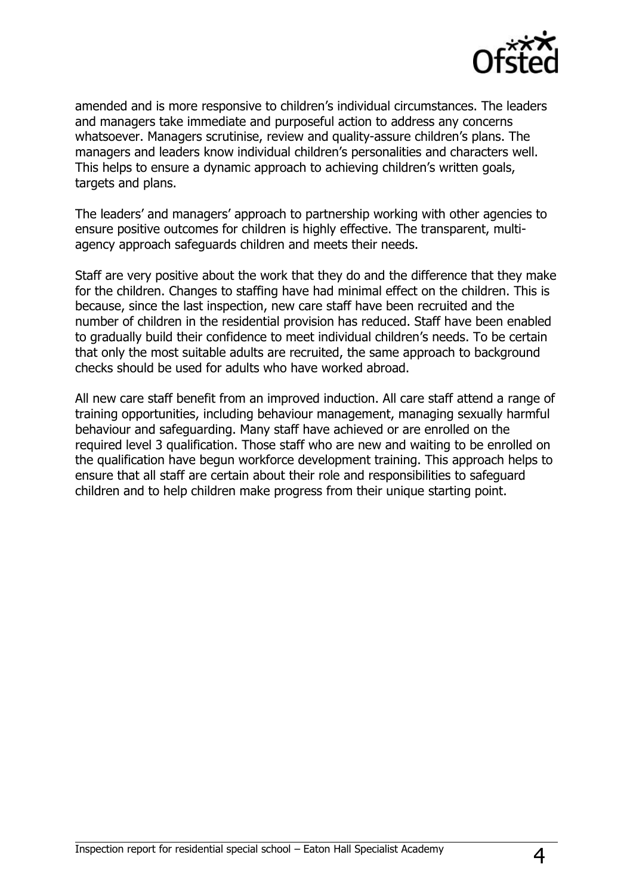

amended and is more responsive to children's individual circumstances. The leaders and managers take immediate and purposeful action to address any concerns whatsoever. Managers scrutinise, review and quality-assure children's plans. The managers and leaders know individual children's personalities and characters well. This helps to ensure a dynamic approach to achieving children's written goals, targets and plans.

The leaders' and managers' approach to partnership working with other agencies to ensure positive outcomes for children is highly effective. The transparent, multiagency approach safeguards children and meets their needs.

Staff are very positive about the work that they do and the difference that they make for the children. Changes to staffing have had minimal effect on the children. This is because, since the last inspection, new care staff have been recruited and the number of children in the residential provision has reduced. Staff have been enabled to gradually build their confidence to meet individual children's needs. To be certain that only the most suitable adults are recruited, the same approach to background checks should be used for adults who have worked abroad.

All new care staff benefit from an improved induction. All care staff attend a range of training opportunities, including behaviour management, managing sexually harmful behaviour and safeguarding. Many staff have achieved or are enrolled on the required level 3 qualification. Those staff who are new and waiting to be enrolled on the qualification have begun workforce development training. This approach helps to ensure that all staff are certain about their role and responsibilities to safeguard children and to help children make progress from their unique starting point.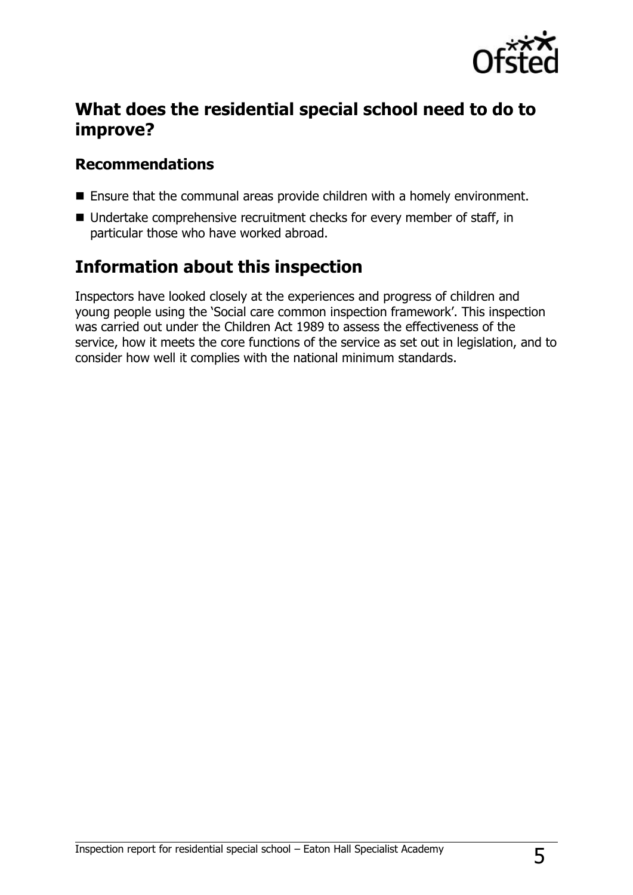

## **What does the residential special school need to do to improve?**

#### **Recommendations**

- Ensure that the communal areas provide children with a homely environment.
- Undertake comprehensive recruitment checks for every member of staff, in particular those who have worked abroad.

## **Information about this inspection**

Inspectors have looked closely at the experiences and progress of children and young people using the 'Social care common inspection framework'. This inspection was carried out under the Children Act 1989 to assess the effectiveness of the service, how it meets the core functions of the service as set out in legislation, and to consider how well it complies with the national minimum standards.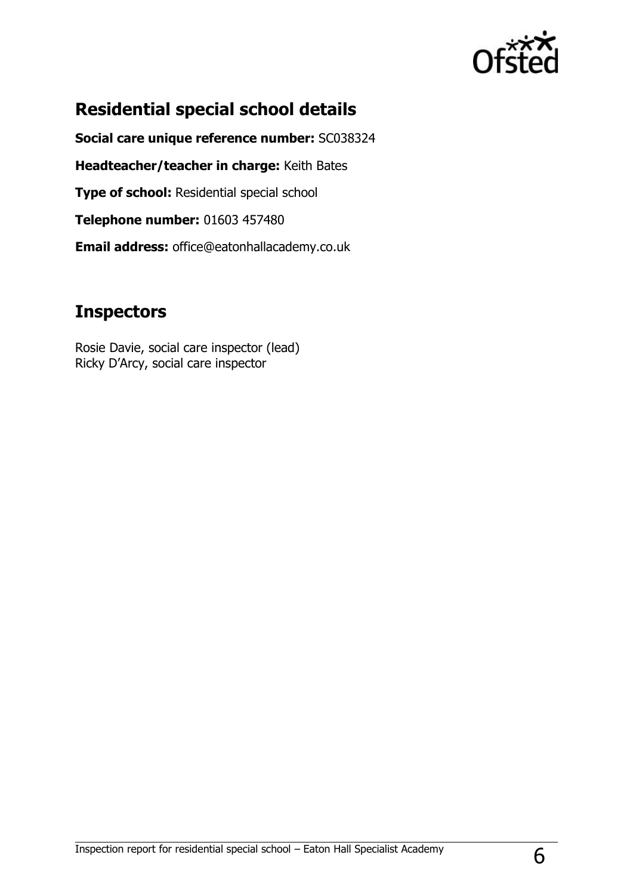

# **Residential special school details**

**Social care unique reference number:** SC038324 **Headteacher/teacher in charge:** Keith Bates **Type of school: Residential special school Telephone number:** 01603 457480 **Email address:** office@eatonhallacademy.co.uk

### **Inspectors**

Rosie Davie, social care inspector (lead) Ricky D'Arcy, social care inspector